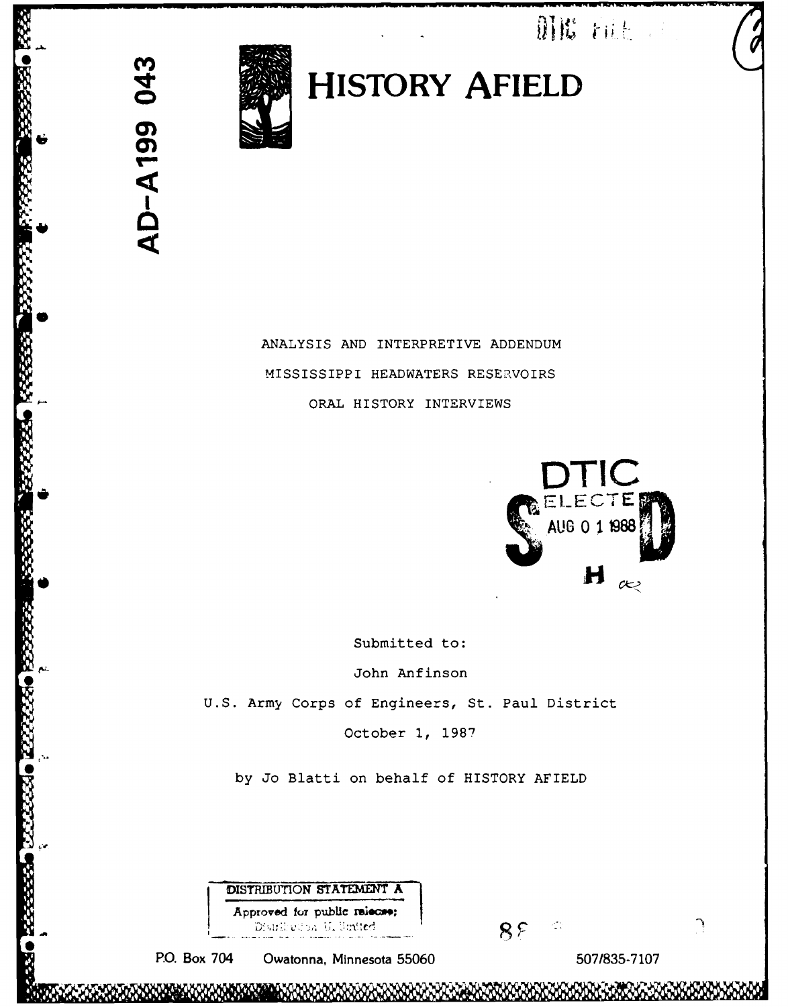Mit tilt of



AD-A199 043

**oHISTORY AFIELD**

ANALYSIS AND INTERPRETIVE ADDENDUM MISSISSIPPI HEADWATERS RESERVOIRS ORAL HISTORY INTERVIEWS



Submitted to:

John Anfinson U.S. Army Corps of Engineers, St. Paul District October **1,** 1987

by Jo Blatti on behalf of HISTORY AFIELD

**DISTRIBUTION STATEMENT A** Approved for public raiscas; Distribution U. Suited

PO. Box 704 Owatonna, Minnesota 55060 507/835-7107

 $\mathcal{L}_{\rm{eff}}$ 

 $8F$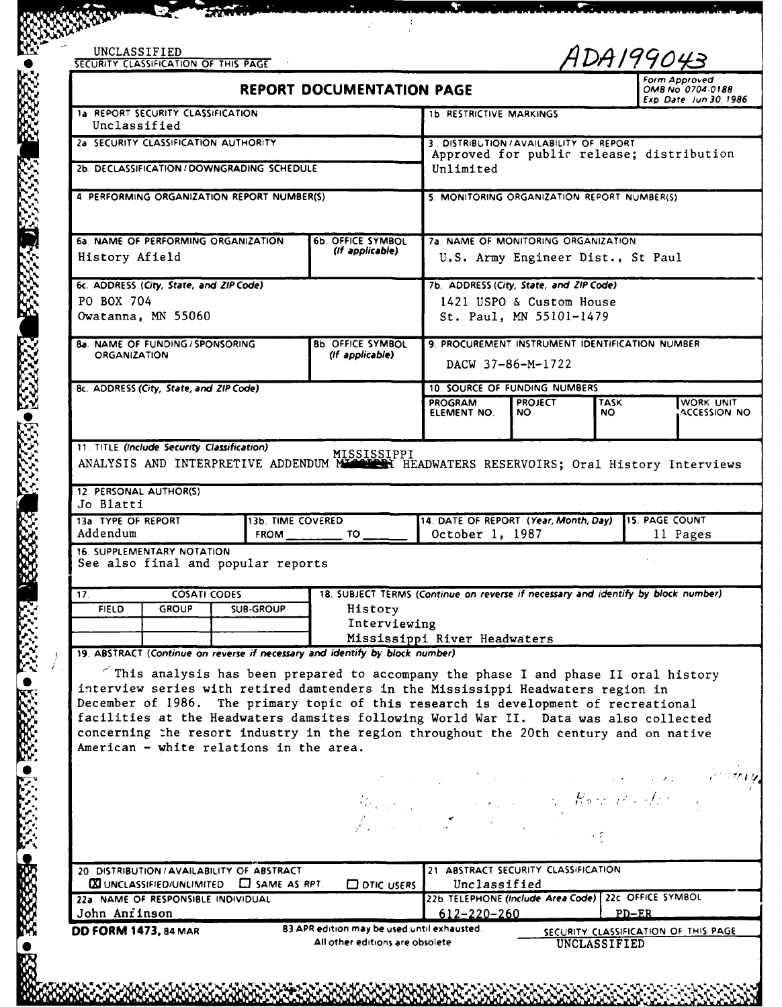|                                                                                                        | SECURITY CLASSIFICATION OF THIS PAGE |                                                        |                                                                                                                                                                                                                                                                                                                                                                                                                                                  |                                                                                       |                                                                       | ADA199043<br>Form Approved                 |           |
|--------------------------------------------------------------------------------------------------------|--------------------------------------|--------------------------------------------------------|--------------------------------------------------------------------------------------------------------------------------------------------------------------------------------------------------------------------------------------------------------------------------------------------------------------------------------------------------------------------------------------------------------------------------------------------------|---------------------------------------------------------------------------------------|-----------------------------------------------------------------------|--------------------------------------------|-----------|
|                                                                                                        |                                      |                                                        | <b>REPORT DOCUMENTATION PAGE</b>                                                                                                                                                                                                                                                                                                                                                                                                                 |                                                                                       |                                                                       | OMB No. 0704-0188<br>Exp Date Jun 30, 1986 |           |
| 1a REPORT SECURITY CLASSIFICATION<br>Unclassified                                                      |                                      |                                                        |                                                                                                                                                                                                                                                                                                                                                                                                                                                  | <b>1b RESTRICTIVE MARKINGS</b>                                                        |                                                                       |                                            |           |
|                                                                                                        |                                      | 2a SECURITY CLASSIFICATION AUTHORITY                   |                                                                                                                                                                                                                                                                                                                                                                                                                                                  | 3. DISTRIBUTION / AVAILABILITY OF REPORT<br>Approved for public release; distribution |                                                                       |                                            |           |
|                                                                                                        |                                      | 2b. DECLASSIFICATION / DOWNGRADING SCHEDULE            |                                                                                                                                                                                                                                                                                                                                                                                                                                                  | Unlimited                                                                             |                                                                       |                                            |           |
|                                                                                                        |                                      | 4 PERFORMING ORGANIZATION REPORT NUMBER(S)             |                                                                                                                                                                                                                                                                                                                                                                                                                                                  | 5. MONITORING ORGANIZATION REPORT NUMBER(S)                                           |                                                                       |                                            |           |
|                                                                                                        |                                      |                                                        |                                                                                                                                                                                                                                                                                                                                                                                                                                                  |                                                                                       |                                                                       |                                            |           |
|                                                                                                        |                                      | 6a. NAME OF PERFORMING ORGANIZATION                    | <b>6b. OFFICE SYMBOL</b>                                                                                                                                                                                                                                                                                                                                                                                                                         | <b>7a. NAME OF MONITORING ORGANIZATION</b>                                            |                                                                       |                                            |           |
| History Afield                                                                                         |                                      |                                                        | (If applicable)                                                                                                                                                                                                                                                                                                                                                                                                                                  | U.S. Army Engineer Dist., St Paul                                                     |                                                                       |                                            |           |
| 6c. ADDRESS (City, State, and ZIP Code)                                                                |                                      |                                                        |                                                                                                                                                                                                                                                                                                                                                                                                                                                  | 7b. ADDRESS (City, State, and ZIP Code)                                               |                                                                       |                                            |           |
| PO BOX 704<br>Owatanna, MN 55060                                                                       |                                      |                                                        |                                                                                                                                                                                                                                                                                                                                                                                                                                                  | 1421 USPO & Custom House<br>St. Paul, MN 55101-1479                                   |                                                                       |                                            |           |
|                                                                                                        |                                      |                                                        |                                                                                                                                                                                                                                                                                                                                                                                                                                                  |                                                                                       |                                                                       |                                            |           |
| <b>8b. OFFICE SYMBOL</b><br>8a. NAME OF FUNDING / SPONSORING<br>(If applicable)<br><b>ORGANIZATION</b> |                                      |                                                        |                                                                                                                                                                                                                                                                                                                                                                                                                                                  | 9. PROCUREMENT INSTRUMENT IDENTIFICATION NUMBER<br>DACW 37-86-M-1722                  |                                                                       |                                            |           |
|                                                                                                        |                                      |                                                        |                                                                                                                                                                                                                                                                                                                                                                                                                                                  |                                                                                       |                                                                       |                                            |           |
| 8c. ADDRESS (City, State, and ZIP Code)                                                                |                                      |                                                        |                                                                                                                                                                                                                                                                                                                                                                                                                                                  | <b>PROGRAM</b>                                                                        | <b>10. SOURCE OF FUNDING NUMBERS</b><br><b>PROJECT</b><br><b>TASK</b> |                                            | WORK UNIT |
|                                                                                                        |                                      |                                                        |                                                                                                                                                                                                                                                                                                                                                                                                                                                  | ELEMENT NO.<br>NO.                                                                    |                                                                       | ACCESSION NO<br>NO.                        |           |
| 13a. TYPE OF REPORT<br>Addendum                                                                        |                                      | 13b. TIME COVERED<br><b>FROM</b>                       |                                                                                                                                                                                                                                                                                                                                                                                                                                                  | 14. DATE OF REPORT (Year, Month, Day) 15. PAGE COUNT<br>October 1, 1987               |                                                                       | 11 Pages                                   |           |
|                                                                                                        | 16. SUPPLEMENTARY NOTATION           |                                                        | $TO-$                                                                                                                                                                                                                                                                                                                                                                                                                                            |                                                                                       |                                                                       |                                            |           |
|                                                                                                        |                                      | See also final and popular reports                     |                                                                                                                                                                                                                                                                                                                                                                                                                                                  |                                                                                       |                                                                       |                                            |           |
| 17 <sub>1</sub><br><b>FIELD</b>                                                                        | <b>COSATI CODES</b><br><b>GROUP</b>  | <b>SUB-GROUP</b>                                       |                                                                                                                                                                                                                                                                                                                                                                                                                                                  | 18. SUBJECT TERMS (Continue on reverse if necessary and identify by block number)     |                                                                       |                                            |           |
|                                                                                                        |                                      |                                                        | History<br>Interviewing                                                                                                                                                                                                                                                                                                                                                                                                                          |                                                                                       |                                                                       |                                            |           |
|                                                                                                        |                                      |                                                        | 19. ABSTRACT (Continue on reverse if necessary and identify by block number)                                                                                                                                                                                                                                                                                                                                                                     | Mississippi River Headwaters                                                          |                                                                       |                                            |           |
|                                                                                                        |                                      | American - white relations in the area.                | This analysis has been prepared to accompany the phase I and phase II oral history<br>interview series with retired damtenders in the Mississippi Headwaters region in<br>December of 1986. The primary topic of this research is development of recreational<br>facilities at the Headwaters damsites following World War II. Data was also collected<br>concerning the resort industry in the region throughout the 20th century and on native | the company of the company of the company of the                                      |                                                                       |                                            |           |
|                                                                                                        |                                      | 20 DISTRIBUTION / AVAILABILITY OF ABSTRACT             |                                                                                                                                                                                                                                                                                                                                                                                                                                                  | Report of the company of the Room of the Arts<br>21 ABSTRACT SECURITY CLASSIFICATION  |                                                                       |                                            |           |
|                                                                                                        |                                      | $\boxtimes$ UNCLASSIFIED/UNLIMITED $\Box$ SAME AS RPT. | $\Box$ DTIC USERS                                                                                                                                                                                                                                                                                                                                                                                                                                | Unclassified                                                                          |                                                                       |                                            |           |
| John Anfinson                                                                                          | 22a. NAME OF RESPONSIBLE INDIVIDUAL  |                                                        | 83 APR edition may be used until exhausted.                                                                                                                                                                                                                                                                                                                                                                                                      | 22b TELEPHONE (Include Area Code) 22c OFFICE SYMBOL<br>$612 - 220 - 260$              |                                                                       | $PD-ER$                                    |           |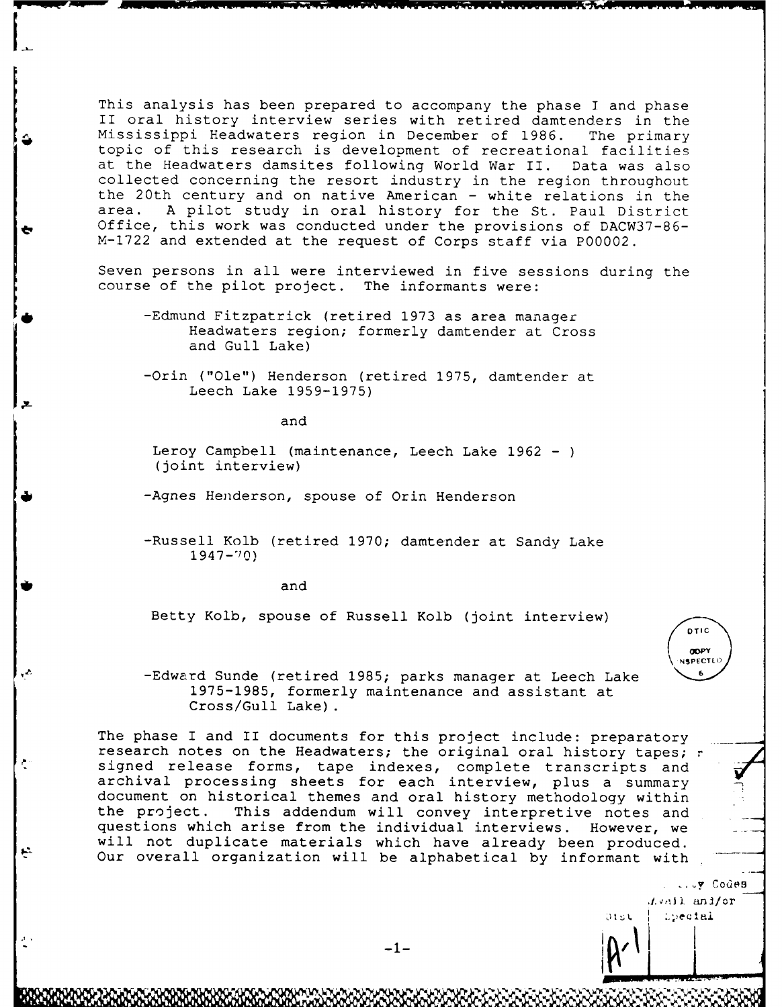This analysis has been prepared to accompany the phase **I** and phase II oral history interview series with retired damtenders in the Mississippi Headwaters region in December of 1986. The primary topic of this research is development of recreational facilities at the Headwaters damsites following World War II. Data was also collected concerning the resort industry in the region throughout the 20th century and on native American - white relations in the area. A pilot study in oral history for the St. Paul District Office, this work was conducted under the provisions of DACW37-86-M-1722 and extended at the request of Corps staff via P00002.

Seven persons in all were interviewed in five sessions during the course of the pilot project. The informants were:

-Edmund Fitzpatrick (retired 1973 as area manager Headwaters region; formerly damtender at Cross and Gull Lake)

-Orin ("Ole") Henderson (retired 1975, damtender at Leech Lake 1959-1975)

and

Leroy Campbell (maintenance, Leech Lake 1962 - (joint interview)

-Agnes Henderson, spouse of Orin Henderson

-Russell Kolb (retired 1970; damtender at Sandy Lake <sup>194</sup>7-°0)

 $\bullet$  and and and and  $\bullet$ 

ينع

Betty Kolb, spouse of Russell Kolb (joint interview)

**OTIC OOPY** \ **NSPECT )**

. Codes

*<i><i>I.*vail and/or<br>| *L*ectal

**Otsu** 

-Edward Sunde (retired 1985; parks manager at Leech Lake **<sup>6</sup>** 1975-1985, formerly maintenance and assistant at Cross/Gull Lake).

The phase I and II documents for this project include: preparatory research notes on the Headwaters; the original oral history tapes; r signed release forms, tape indexes, complete transcripts and archival processing sheets for each interview, plus a summary document on historical themes and oral history methodology within the project. This addendum will convey interpretive notes and questions which arise from the individual interviews. However, we will not duplicate materials which have already been produced. Our overall organization will be alphabetical by informant with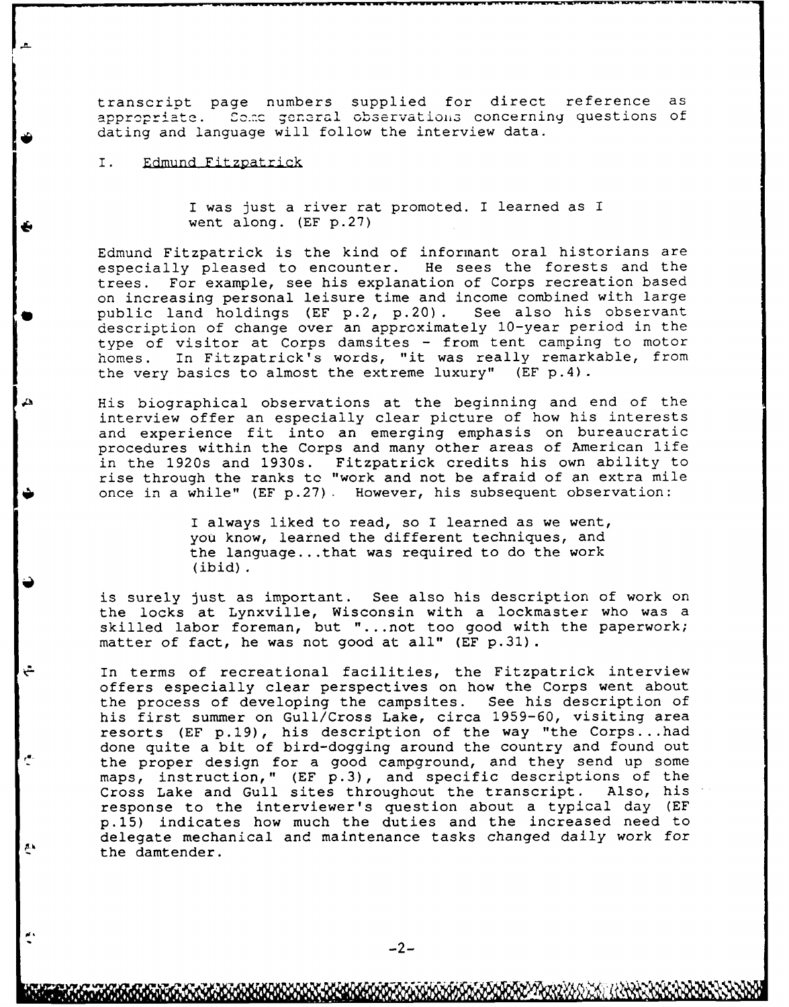transcript page numbers supplied for direct reference as appropriate. Some general observations concerning questions of dating and language will follow the interview data.

### I. Edmund Fitzpatrick

ٿ

r"

 $\mathbf{A}$ 

I was just a river rat promoted. I learned as I went along. (EF p.27)

Edmund Fitzpatrick is the kind of informant oral historians are especially pleased to encounter. He sees the forests and the<br>trees. For example, see his explanation of Corps recreation based For example, see his explanation of Corps recreation based on increasing personal leisure time and income combined with large public land holdings (EF  $p.2$ ,  $p.20$ ). See also his observant public land holdings (EF p.2, p.20). description of change over an approximately 10-year period in the type of visitor at Corps damsites - from tent camping to motor homes. In Fitzpatrick's words, "it was really remarkable, from the very basics to almost the extreme luxury" (EF p.4).

His biographical observations at the beginning and end of the interview offer an especially clear picture of how his interests and experience fit into an emerging emphasis on bureaucratic procedures within the Corps and many other areas of American life in the 1920s and 1930s. Fitzpatrick credits his own ability to rise through the ranks to "work and not be afraid of an extra mile once in a while" (EF p.27). However, his subsequent observation:

> I always liked to read, so I learned as we went, you know, learned the different techniques, and the language.. .that was required to do the work (ibid).

is surely just as important. See also his description of work on the locks at Lynxville, Wisconsin with a lockmaster who was a skilled labor foreman, but ". ..not too good with the paperwork; matter of fact, he was not good at all" (EF p.31).

In terms of recreational facilities, the Fitzpatrick interview offers especially clear perspectives on how the Corps went about the process of developing the campsites. See his description of his first summer on Gull/Cross Lake, circa 1959-60, visiting area resorts (EF p.19), his description of the way "the Corps.. .had done quite a bit of bird-dogging around the country and found out the proper design for a good campground, and they send up some maps, instruction," (EF p.3), and specific descriptions of the Cross Lake and Gull sites throughout the transcript. Also, his response to the interviewer's question about a typical day (EF p.15) indicates how much the duties and the increased need to delegate mechanical and maintenance tasks changed daily work for the damtender.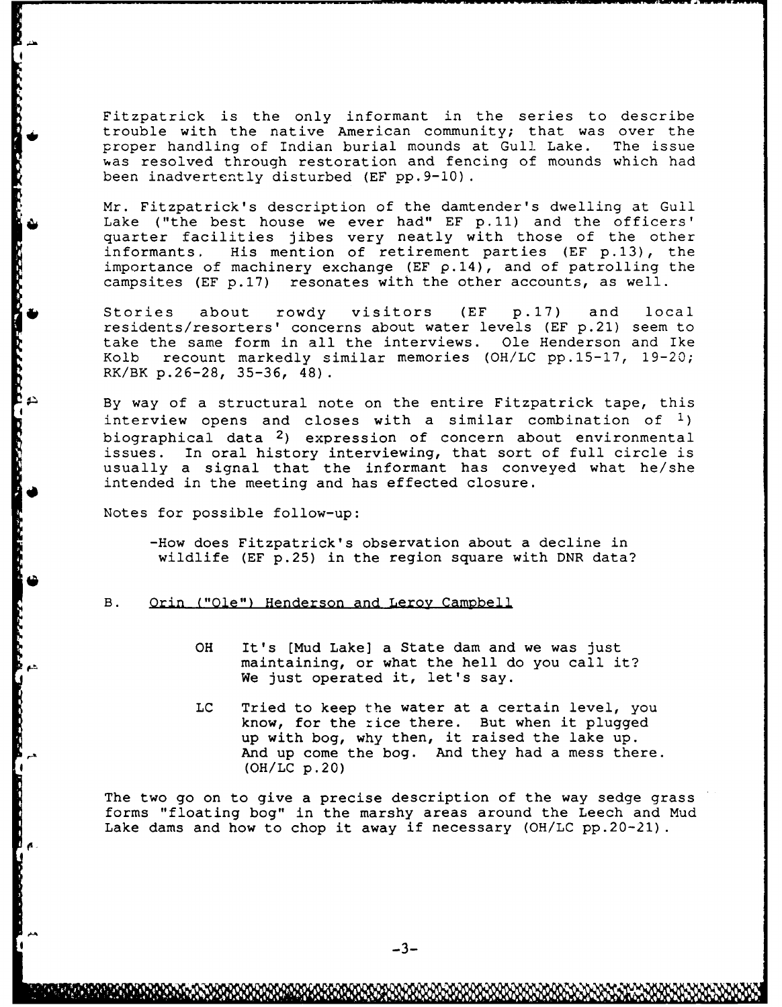Fitzpatrick is the only informant in the series to describe trouble with the native American community; that was over the proper handling of Indian burial mounds at Gull Lake. The issue was resolved through restoration and fencing of mounds which had been inadvertently disturbed (EF pp.9-10).

Mr. Fitzpatrick's description of the damtender's dwelling at Gull Lake ("the best house we ever had" EF **p.11)** and the officers' quarter facilities jibes very neatly with those of the other informants. His mention of retirement parties (EF p.13), the importance of machinery exchange (EF  $\rho$ .14), and of patrolling the campsites (EF p.17) resonates with the other accounts, as well.

Stories about rowdy visitors (EF p.17) and local residents/resorters' concerns about water levels (EF p.21) seem to take the same form in all the interviews. Ole Henderson and Ike Kolb recount markedly similar memories (OH/LC pp.15-17, 19-20; RK/BK p. 26-28, 35-36, 48).

By way of a structural note on the entire Fitzpatrick tape, this interview opens and closes with a similar combination of **1)** biographical data 2) expression of concern about environmental issues. In oral history interviewing, that sort of full circle is usually a signal that the informant has conveyed what he/she intended in the meeting and has effected closure.

Notes for possible follow-up:

-How does Fitzpatrick's observation about a decline in wildlife (EF p.25) in the region square with DNR data?

#### B. Orin ("Ole") Henderson and Leroy Campbell

- OH It's [Mud Lake] a State dam and we was just maintaining, or what the hell do you call it? We just operated it, let's say.
- LC Tried to keep the water at a certain level, you know, for the :ice there. But when it plugged up with bog, why then, it raised the lake up. And up come the bog. And they had a mess there. (OH/LC p.20)

The two go on to give a precise description of the way sedge grass forms "floating bog" in the marshy areas around the Leech and Mud Lake dams and how to chop it away if necessary (OH/LC pp.20-21).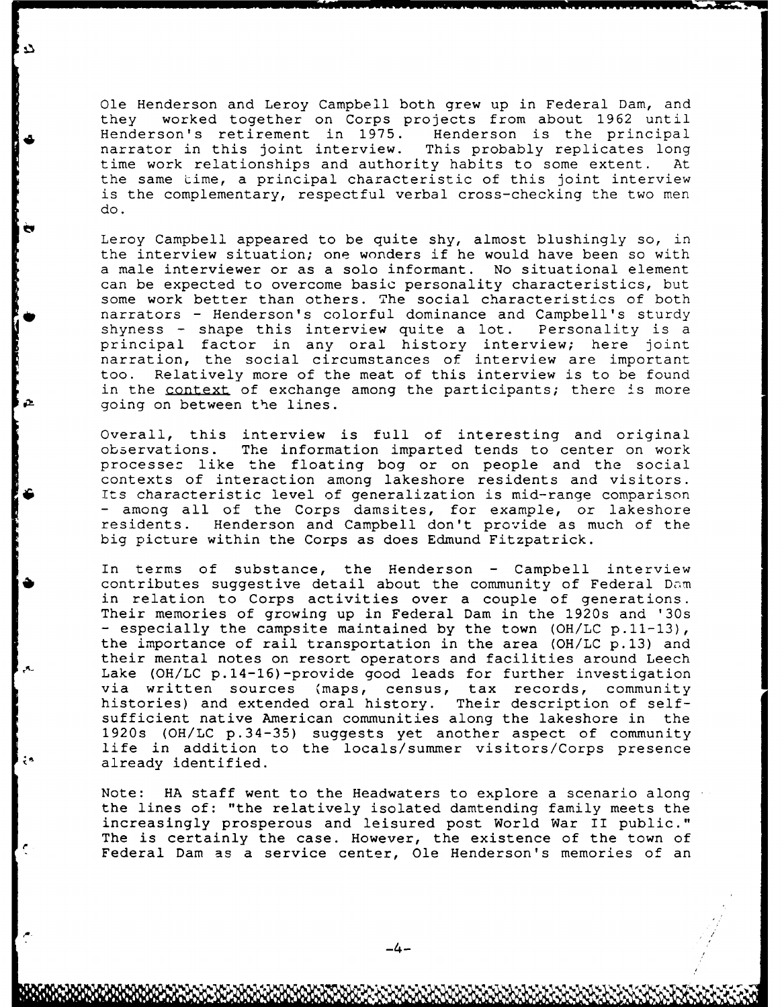Ole Henderson and Leroy Campbell both grew up in Federal Dam, and they worked together on Corps projects from about 1962 until Henderson's retirement in 1975. narrator in this joint interview. This probably replicates long time work relationships and authority habits to some extent. At the same time, a principal characteristic of this joint interview is the complementary, respectful verbal cross-checking the two men do.

Leroy Campbell appeared to be quite shy, almost blushingly so, in the interview situation; one wonders if he would have been so with a male interviewer or as a solo informant. No situational element can be expected to overcome basic personality characteristics, but some work better than others. The social characteristics of both narrators - Henderson's colorful dominance and Campbell's sturdy shyness - shape this interview quite a lot. Personality is a principal factor in any oral history interview; here joint narration, the social circumstances of interview are important too. Relatively more of the meat of this interview is to be found in the context of exchange among the participants; there is more going on between the lines.

Overall, this interview is full of interesting and original observations. The information imparted tends to center on work processes like the floating bog or on people and the social contexts of interaction among lakeshore residents and visitors.<br>Its characteristic level of generalization is mid-range comparison - among all of the Corps damsites, for example, or lakeshore residents. Henderson and Campbell don't provide as much of the big picture within the Corps as does Edmund Fitzpatrick.

In terms of substance, the Henderson - Campbell interview contributes suggestive detail about the community of Federal Dam in relation to Corps activities over a couple of generations. Their memories of growing up in Federal Dam in the 1920s and '30s **-** especially the campsite maintained by the town (OH/LC p.11-13), the importance of rail transportation in the area (OH/LC p.13) and their mental notes on resort operators and facilities around Leech Lake (OH/LC p.14-16)-provide good leads for further investigation via written sources (maps, census, tax records, community histories) and extended oral history. Their description of selfsufficient native American communities along the lakeshore in the 1920s (OH/LC p.34-35) suggests yet another aspect of community life in addition to the locals/summer visitors/Corps presence already identified.

Note: HA staff went to the Headwaters to explore a scenario along the lines of: "the relatively isolated damtending family meets the increasingly prosperous and leisured post World War II public." The is certainly the case. However, the existence of the town of Federal Dam as a service center, Ole Henderson's memories of an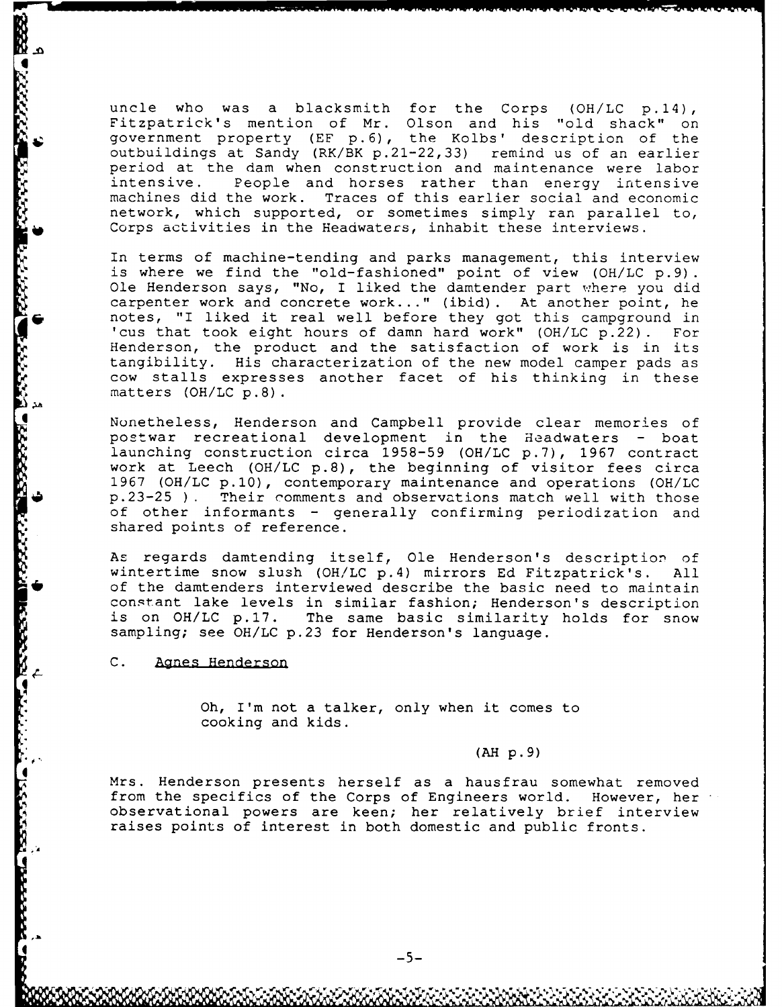uncle who was a blacksmith for the Corps **(OH/LC** p.14), Fitzpatrick's mention of Mr. Olson and his "old shack" on government property (EF p.6), the Kolbs' description of the outbuildings at Sandy (RK/BK p.21-22,33) remind us of an earlier period at the dam when construction and maintenance were labor People and horses rather than energy intensive machines did the work. Traces of this earlier social and economic network, which supported, or sometimes simply ran parallel to, Corps activities in the Headwaters, inhabit these interviews.

In terms of machine-tending and parks management, this interview is where we find the "old-fashioned" point of view (OH/LC p.9). Ole Henderson says, "No, I liked the damtender part where you did carpenter work and concrete work..." (ibid). At another point, he rnotes, "I liked it real well before they got this campground in 'cus that took eight hours of damn hard work" (OH/LC p.22) . For Henderson, the product and the satisfaction of work is in its tangibility. His characterization of the new model camper pads as cow stalls expresses another facet of his thinking in these matters (OH/LC p.8).

Nonetheless, Henderson and Campbell provide clear memories of postwar recreational development in the Headwaters - boat launching construction circa 1958-59 (OH/LC p.7), 1967 contract work at Leech (OH/LC p.8), the beginning of visitor fees circa 1967 (OH/LC p.10), contemporary maintenance and operations (OH/LC p.23-25 **) .** Their comments and observations match well with those of other informants - generally confirming periodization and shared points of reference.

As regards damtending itself, Ole Henderson's description of wintertime snow slush (OH/LC p.4) mirrors Ed Fitzpatrick's. All **\*of** the damtenders interviewed describe the basic need to maintain constant lake levels in similar fashion; Henderson's description is on OH/LC p.17. The same basic similarity holds for snow sampling; see OH/LC p.23 for Henderson's language.

C. Agnes Henderson

:<br>'

Oh, I'm not a talker, only when it comes to cooking and kids.

**(AH** p. <sup>9</sup> )

Mrs. Henderson presents herself as a hausfrau somewhat removed from the specifics of the Corps of Engineers world. However, her observational powers are keen; her relatively brief interview raises points of interest in both domestic and public fronts.

**-or** pr- **V**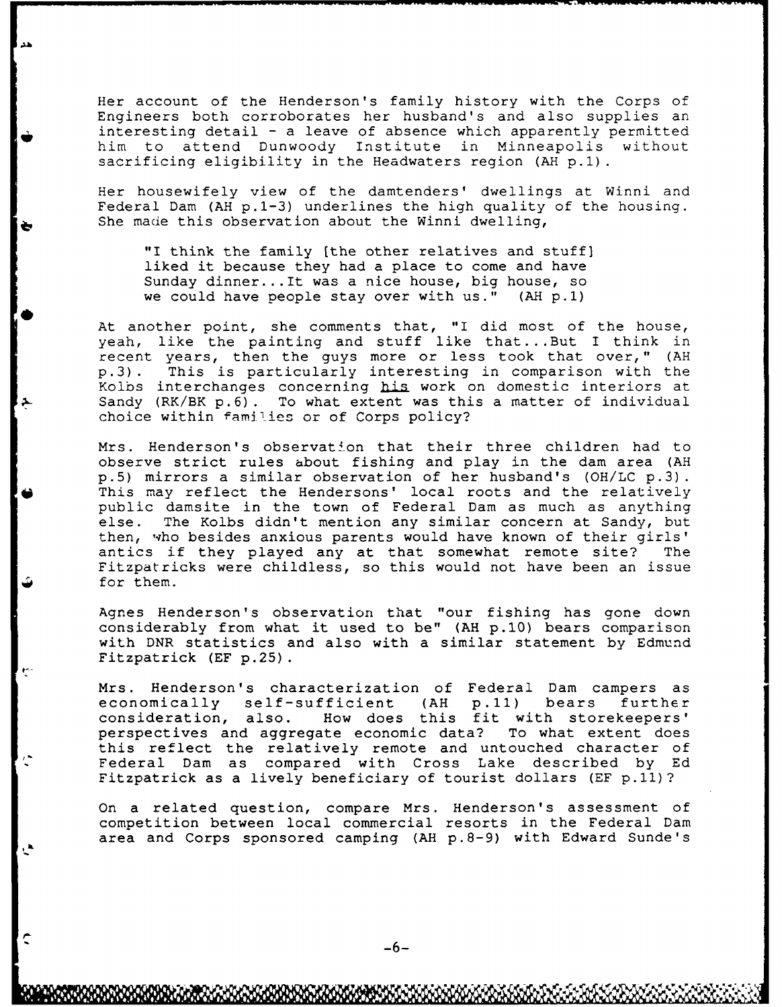Her account of the Henderson's family history with the Corps of Engineers both corroborates her husband's and also supplies an interesting detail **-** a leave of absence which apparently permitted him to attend Dunwoody Institute in Minneapolis without sacrificing eligibility in the Headwaters region **(AH p.1).**

Her housewifely view of the damtenders' dwellings at Winni and Federal Dam (AH p.1-3) underlines the high quality of the housing. She made this observation about the Winni dwelling,

"I think the family [the other relatives and stuff] liked it because they had a place to come and have Sunday dinner... It was a nice house, big house, so we could have people stay over with us." **(AH p.1)**

At another point, she comments that, "I did most of the house, yeah, like the painting and stuff like that...But I think in recent years, then the guys more or less took that over," **(AH** p.3) . This is particularly interesting in comparison with the Kolbs interchanges concerning his work on domestic interiors at Sandy (RK/BK p.6). To what extent was this a matter of individual choice within families or of Corps policy?

Mrs. Henderson's observation that their three children had to observe strict rules about fishing and play in the dam area **(AH** p.5) mirrors a similar observation of her husband's (OH/LC p.3). This may reflect the Hendersons' local roots and the relatively public damsite in the town of Federal Dam as much as anything else. The Kolbs didn't mention any similar concern at Sandy, but then, who besides anxious parents would have known of their girls' antics if they played any at that somewhat remote site? The Fitzpatricks were childless, so this would not have been an issue for them.

Agnes Henderson's observation that "our fishing has gone down considerably from what it used to be" (AH p.10) bears comparison with DNR statistics and also with a similar statement by Edmund Fitzpatrick (EF p.25).

Mrs. Henderson's characterization of Federal Dam campers as economically self-sufficient **(AH p.11)** bears further How does this fit with storekeepers' perspectives and aggregate economic data? To what extent does this reflect the relatively remote and untouched character of Federal Dam as compared with Cross Lake described by Ed Fitzpatrick as a lively beneficiary of tourist dollars (EF p.11)?

On a related question, compare Mrs. Henderson's assessment of competition between local commercial resorts in the Federal Dam area and Corps sponsored camping **(AH** p.8-9) with Edward Sunde's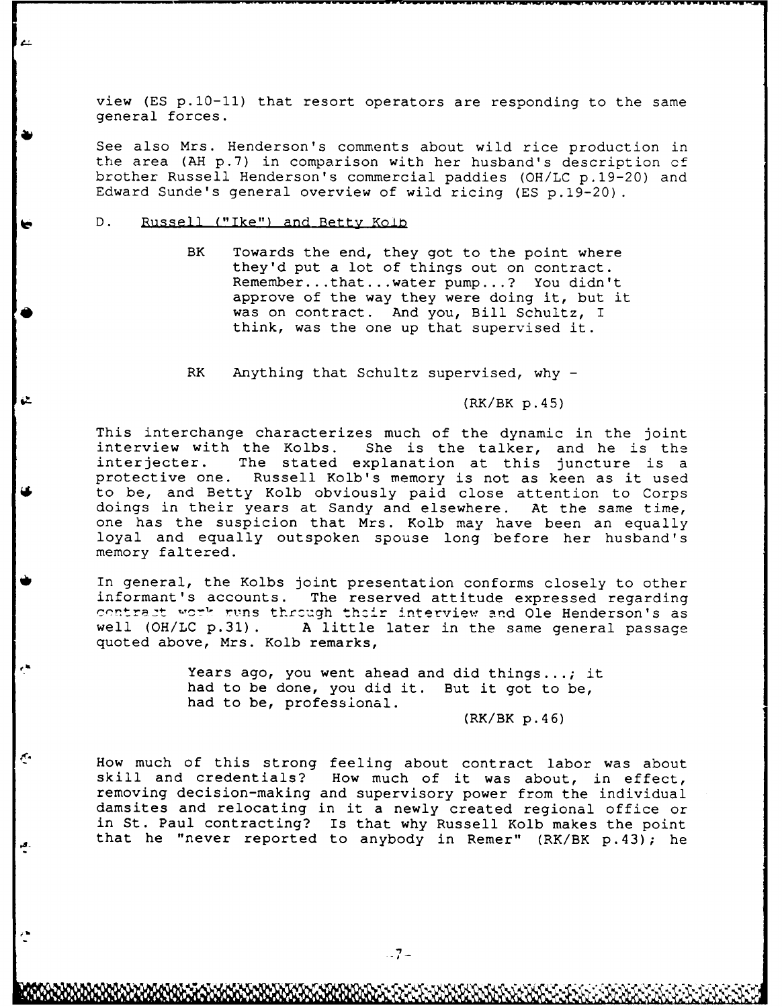view (ES p.10-11) that resort operators are responding to the same general forces.

See also Mrs. Henderson's comments about wild rice production in the area (AH p. 7) in comparison with her husband's description of brother Russell Henderson's commercial paddies (OH/LC p.19-20) and Edward Sunde's general overview of wild ricing (ES p.19-20).

D. Russell ("Ike") and Betty Kolb

 $\mathfrak{C}$ 

BK Towards the end, they got to the point where they'd put a lot of things out on contract. Remember ...that... water pump...? You didn't approve of the way they were doing it, but it was on contract. And you, Bill Schultz, I think, was the one up that supervised it.

RK Anything that Schultz supervised, why -

(RK/BK p. <sup>4</sup> 5)

This interchange characterizes much of the dynamic in the joint interview with the Kolbs. She is the talker, and he is the interview with the Kolbs. She is the talker, and he is the interjecter. The stated explanation at this juncture is a protective one. Russell Kolb's memory is not as keen as it used to be, and Betty Kolb obviously paid close attention to Corps doings in their years at Sandy and elsewhere. At the same time, one has the suspicion that Mrs. Kolb may have been an equally loyal and equally outspoken spouse long before her husband's memory faltered.

In general, the Kolbs joint presentation conforms closely to other informant's accounts. The reserved attitude expressed regarding contract work runs through their interview and Ole Henderson's as well (OH/LC p.31). A little later in the same general passage quoted above, Mrs. Kolb remarks,

> Years ago, you went ahead and did things...; it had to be done, you did it. But it got to be, had to be, professional.

> > (RK/BK **p.46)**

How much of this strong feeling about contract labor was about skill and credentials? How much of it was about, in effect, removing decision-making and supervisory power from the individual damsites and relocating in it a newly created regional office or in St. Paul contracting? Is that why Russell Kolb makes the point that he "never reported to anybody in Remer"  $(RK/BK p.43)$ ; he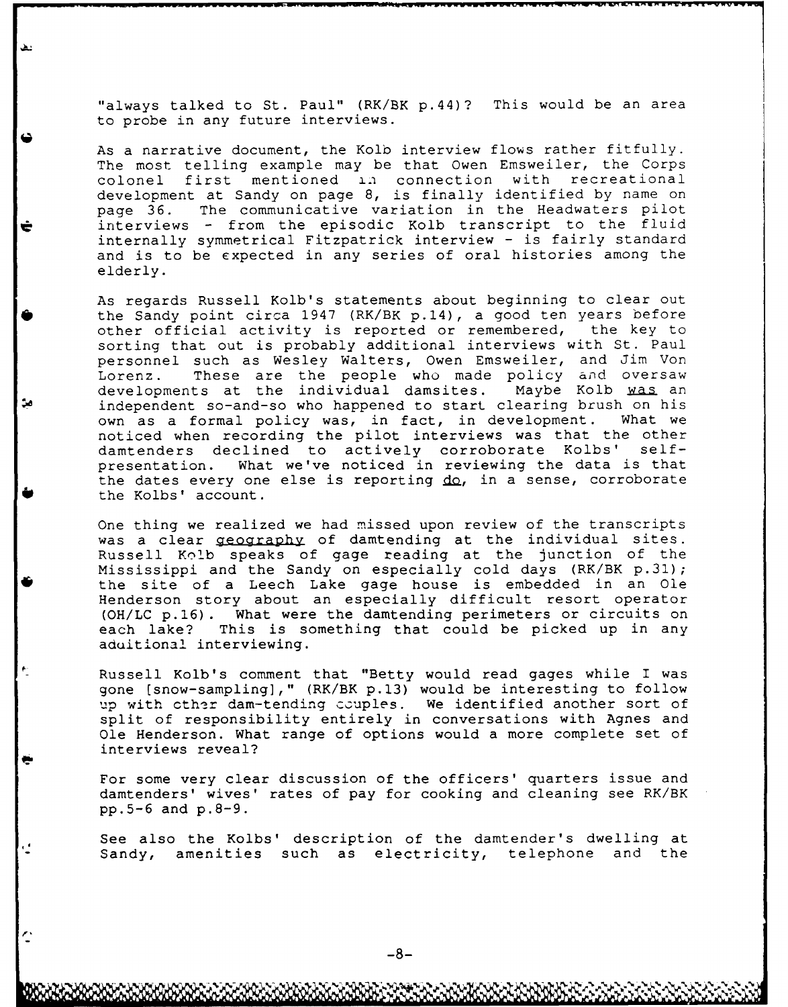"always talked to St. Paul" (RK/BK p.44)? This would be an area to probe in any future interviews.

As a narrative document, the Kolb interview flows rather fitfully. The most telling example may be that Owen Emsweiler, the Corps colonel first mentioned in connection with recreational development at Sandy on page 8, is finally identified by name on page 36. The communicative variation in the Headwaters pilot interviews - from the episodic Kolb transcript to the fluid internally symmetrical Fitzpatrick interview - is fairly standard and is to be expected in any series of oral histories among the elderly.

As regards Russell Kolb's statements about beginning to clear out the Sandy point circa 1947 (RK/BK p.14), a good ten years before other official activity is reported or remembered, the key to sorting that out is probably additional interviews with St. Paul personnel such as Wesley Walters, Owen Emsweiler, and Jim Von Lorenz. These are the people who made policy and oversaw developments at the individual damsites. Maybe Kolb was an independent so-and-so who happened to start clearing brush on his own as a formal policy was, in fact, in development. What we noticed when recording the pilot interviews was that the other damtenders declined to actively corroborate Kolbs' selfpresentation. What we've noticed in reviewing the data is that the dates every one else is reporting do, in a sense, corroborate the Kolbs' account.

One thing we realized we had missed upon review of the transcripts was a clear geography of damtending at the individual sites. Russell Kolb speaks of gage reading at the junction of the Mississippi and the Sandy on especially cold days (RK/BK p.31); \*the site of a Leech Lake gage house is embedded in an Ole Henderson story about an especially difficult resort operator (OH/LC p.16). What were the damtending perimeters or circuits on each lake? This is something that could be picked up in any aduitional interviewing.

> Russell Kolb's comment that "Betty would read gages while I was gone (snow-sampling]," (RK/BK p.13) would be interesting to follow up with other dam-tending couples. We identified another sort of split of responsibility entirely in conversations with Agnes and Ole Henderson. What range of options would a more complete set of interviews reveal?

> For some very clear discussion of the officers' quarters issue and damtenders' wives' rates of pay for cooking and cleaning see RK/BK pp.5-6 and p.8-9.

> See also the Kolbs' description of the damtender's dwelling at Sandy, amenities such as electricity, telephone and the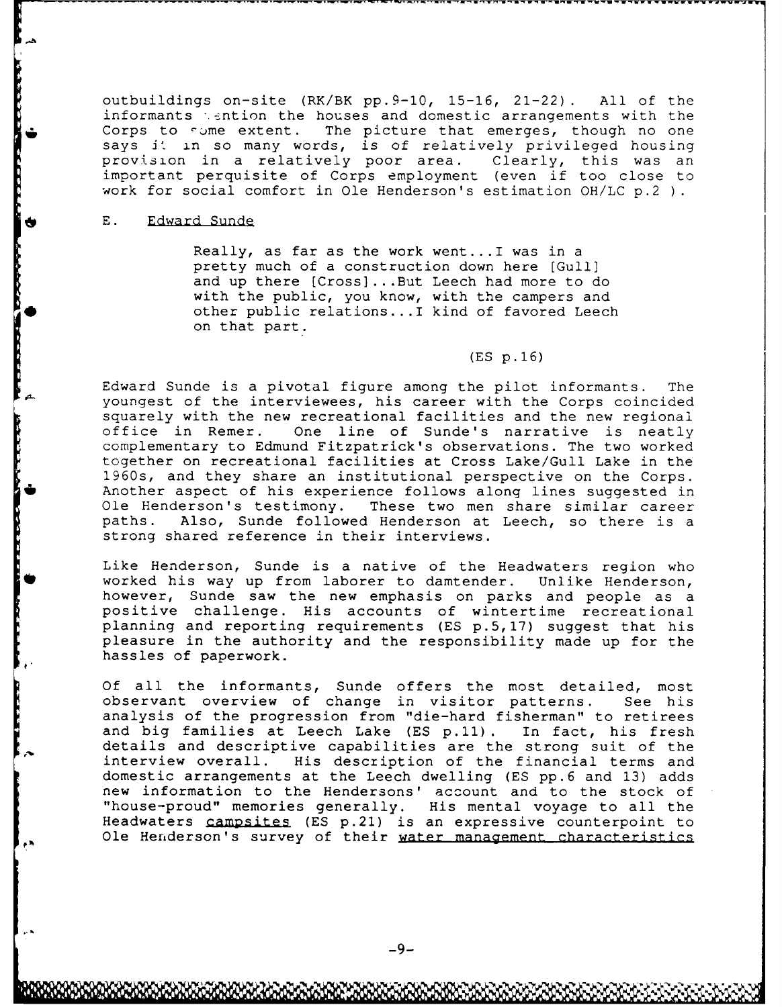outbuildings on-site (RK/BK pp.9-10, 15-16, 21-22). All of the informants  $\therefore$  ention the houses and domestic arrangements with the Corps to some extent. The picture that emerges, though no one says **jt** in so many words, is of relatively privileged housing provision in a relatively poor area. Clearly, this was an important perquisite of Corps employment (even if too close to work for social comfort in Ole Henderson's estimation OH/LC p.2

## E. Edward Sunde

Really, as far as the work went... I was in a pretty much of a construction down here [Gull] and up there [Cross] ...But Leech had more to do with the public, you know, with the campers and other public relations...I kind of favored Leech on that part.

# (ES p.16)

Edward Sunde is a pivotal figure among the pilot informants. The youngest of the interviewees, his career with the Corps coincided squarely with the new recreational facilities and the new regional office in Remer. One line of Sunde's narrative is neatly complementary to Edmund Fitzpatrick's observations. The two worked together on recreational facilities at Cross Lake/Gull Lake in the 1960s, and they share an institutional perspective on the Corps. Another aspect of his experience follows along lines suggested in Ole Henderson's testimony. These two men share similar career paths. Also, Sunde followed Henderson at Leech, so there is a strong shared reference in their interviews.

Like Henderson, Sunde is a native of the Headwaters region who worked his way up from laborer to damtender. Unlike Henderson, however, Sunde saw the new emphasis on parks and people as a positive challenge. His accounts of wintertime recreational planning and reporting requirements (ES p.5,17) suggest that his pleasure in the authority and the responsibility made up for the hassles of paperwork.

Of all the informants, Sunde offers the most detailed, most observant overview of change in visitor patterns. See his analysis of the progression from "die-hard fisherman" to retirees and big families at Leech Lake (ES **p.11).** In fact, his fresh details and descriptive capabilities are the strong suit of the interview overall. His description of the financial terms and domestic arrangements at the Leech dwelling (ES pp.6 and 13) adds new information to the Hendersons' account and to the stock of "house-proud" memories generally. His mental voyage to all the Headwaters campsites (ES p.21) is an expressive counterpoint to Ole Henderson's survey of their water management characteristics

-N " **-.** 4 **. - ..**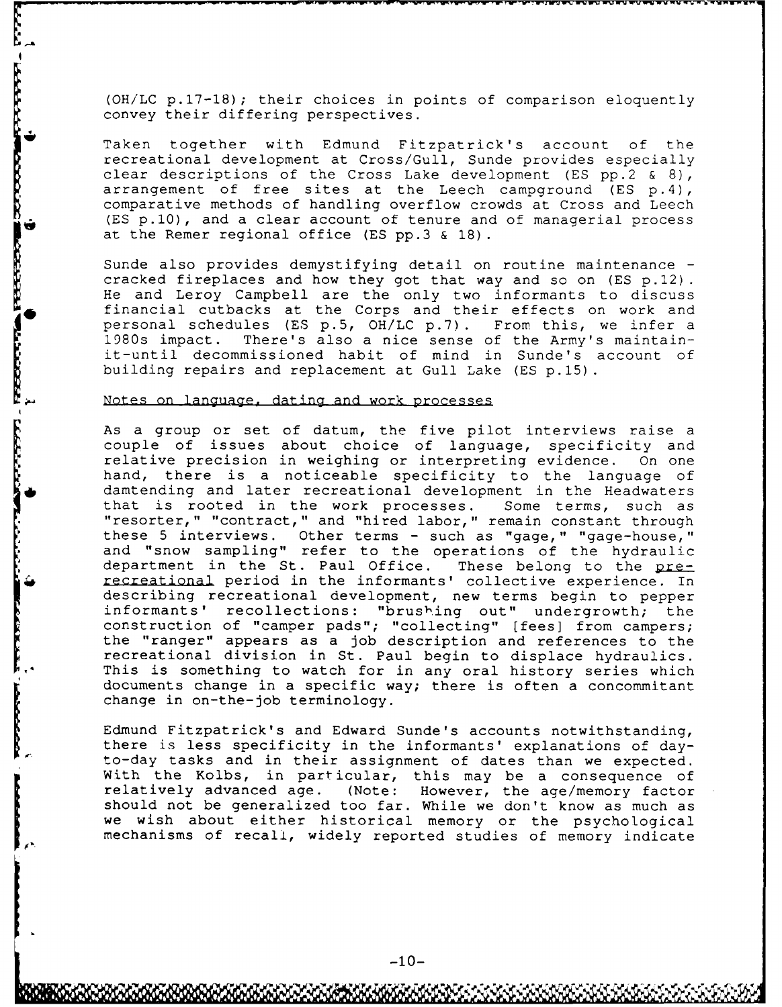**(OH/LC** p.17-18) ; their choices in points of comparison eloquently convey their differing perspectives.

Taken together with Edmund Fitzpatrick's account of the recreational development at Cross/Gull, Sunde provides especially clear descriptions of the Cross Lake development (ES pp.2 & 8), arrangement of free sites at the Leech campground (ES p.4), comparative methods of handling overflow crowds at Cross and Leech (ES p.10), and a clear account of tenure and of managerial process at the Remer regional office (ES pp.3 & 18).

Sunde also provides demystifying detail on routine maintenance cracked fireplaces and how they got that way and so on (ES p.12) He and Leroy Campbell are the only two informants to discuss financial cutbacks at the Corps and their effects on work and personal schedules (ES p.5, OH/LC p.7) . From this, we infer a 1980s impact. There's also a nice sense of the Army's maintainit-until decommissioned habit of mind in Sunde's account of building repairs and replacement at Gull Lake (ES p.15).

# Notes on language, dating and work processes

As a group or set of datum, the five pilot interviews raise a couple of issues about choice of language, specificity and relative precision in weighing or interpreting evidence. On one hand, there is a noticeable specificity to the language of damtending and later recreational development in the Headwaters that is rooted in the work processes. Some terms, such as "resorter," "contract," and "hired labor," remain constant through these 5 interviews. Other terms - such as "gage," "gage-house," and "snow sampling" refer to the operations of the hydraulic department in the St. Paul Office. These belong to the prerecreational period in the informants' collective experience. In describing recreational development, new terms begin to pepper informants' recollections: "brushing out" undergrowth; the construction of "camper pads"; "collecting" [fees] from campers; the "ranger" appears as a job description and references to the recreational division in St. Paul begin to displace hydraulics. This is something to watch for in any oral history series which documents change in a specific way; there is often a concommitant change in on-the-job terminology.

Edmund Fitzpatrick's and Edward Sunde's accounts notwithstanding, there is less specificity in the informants' explanations of day- to-day tasks and in their assignment of dates than we expected. With the Kolbs, in particular, this may be a consequence of relatively advanced age. (Note: However, the age/memory factor should not be generalized too far. While we don't know as much as we wish about either historical memory or the psychological mechanisms of recall, widely reported studies of memory indicate